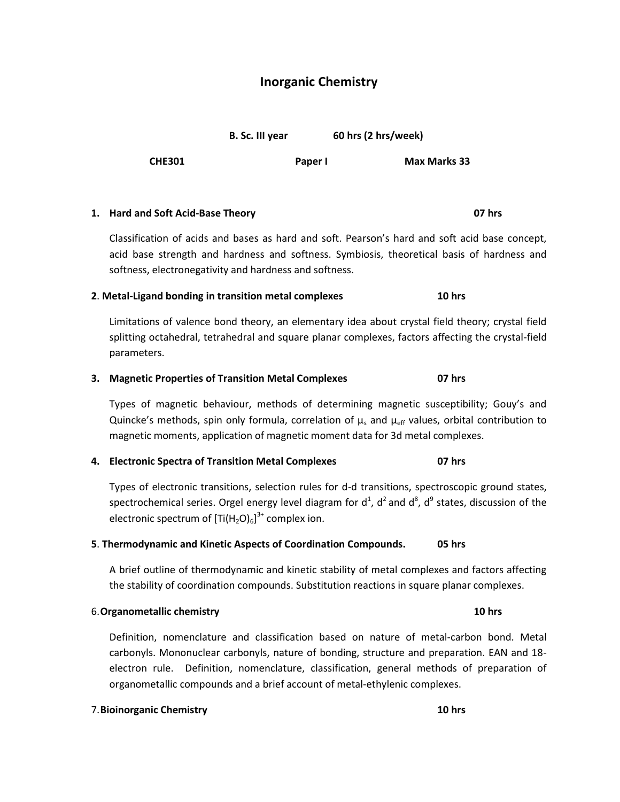# **Inorganic Chemistry**

**B. Sc. III year** 60 hrs (2 hrs/week)

**CHE301 Paper I Max Marks 33**

Classification of acids and bases as hard and soft. Pearson's hard and soft acid base concept, acid base strength and hardness and softness. Symbiosis, theoretical basis of hardness and softness, electronegativity and hardness and softness.

## **2**. **Metal-Ligand bonding in transition metal complexes 10 hrs**

Limitations of valence bond theory, an elementary idea about crystal field theory; crystal field splitting octahedral, tetrahedral and square planar complexes, factors affecting the crystal-field parameters.

## **3. Magnetic Properties of Transition Metal Complexes 07 hrs**

Types of magnetic behaviour, methods of determining magnetic susceptibility; Gouy's and Quincke's methods, spin only formula, correlation of  $\mu_s$  and  $\mu_{eff}$  values, orbital contribution to magnetic moments, application of magnetic moment data for 3d metal complexes.

### **4. Electronic Spectra of Transition Metal Complexes 07 hrs**

Types of electronic transitions, selection rules for d-d transitions, spectroscopic ground states, spectrochemical series. Orgel energy level diagram for  $d^1$ ,  $d^2$  and  $d^8$ ,  $d^9$  states, discussion of the electronic spectrum of  $\left[\text{Ti}(\text{H}_{2}\text{O})_{6}\right]^{3+}$  complex ion.

### **5**. **Thermodynamic and Kinetic Aspects of Coordination Compounds. 05 hrs**

A brief outline of thermodynamic and kinetic stability of metal complexes and factors affecting the stability of coordination compounds. Substitution reactions in square planar complexes.

### 6.**Organometallic chemistry 10 hrs**

Definition, nomenclature and classification based on nature of metal-carbon bond. Metal carbonyls. Mononuclear carbonyls, nature of bonding, structure and preparation. EAN and 18 electron rule. Definition, nomenclature, classification, general methods of preparation of organometallic compounds and a brief account of metal-ethylenic complexes.

## 7.**Bioinorganic Chemistry 10 hrs**

## **1. Hard and Soft Acid-Base Theory 07 hrs**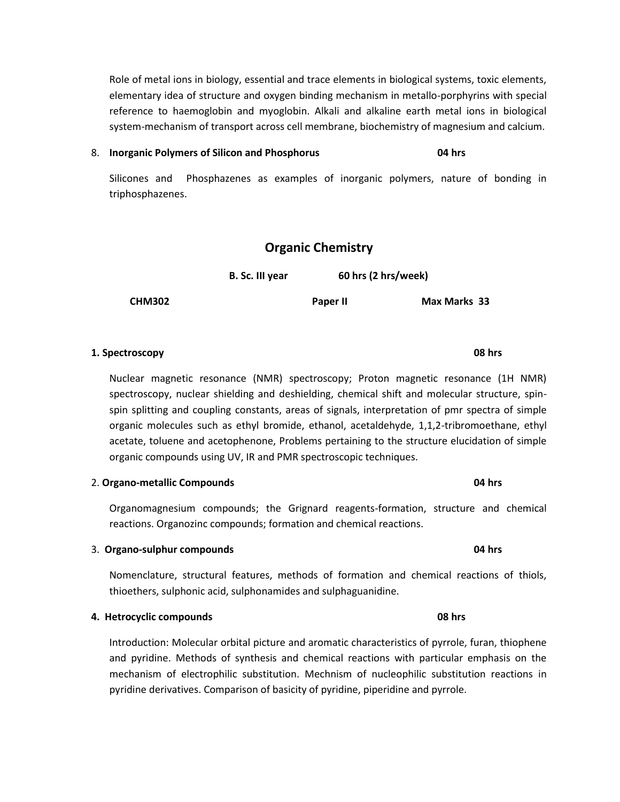Role of metal ions in biology, essential and trace elements in biological systems, toxic elements, elementary idea of structure and oxygen binding mechanism in metallo-porphyrins with special reference to haemoglobin and myoglobin. Alkali and alkaline earth metal ions in biological system-mechanism of transport across cell membrane, biochemistry of magnesium and calcium.

### 8. **Inorganic Polymers of Silicon and Phosphorus 04 hrs**

Silicones and Phosphazenes as examples of inorganic polymers, nature of bonding in triphosphazenes.

## **Organic Chemistry**

 **B. Sc. III year 60 hrs (2 hrs/week)**

**CHM302 Paper II Max Marks 33**

## **1. Spectroscopy 08 hrs**

Nuclear magnetic resonance (NMR) spectroscopy; Proton magnetic resonance (1H NMR) spectroscopy, nuclear shielding and deshielding, chemical shift and molecular structure, spinspin splitting and coupling constants, areas of signals, interpretation of pmr spectra of simple organic molecules such as ethyl bromide, ethanol, acetaldehyde, 1,1,2-tribromoethane, ethyl acetate, toluene and acetophenone, Problems pertaining to the structure elucidation of simple organic compounds using UV, IR and PMR spectroscopic techniques.

2. **Organo-metallic Compounds 04 hrs**

Organomagnesium compounds; the Grignard reagents-formation, structure and chemical reactions. Organozinc compounds; formation and chemical reactions.

### 3. **Organo-sulphur compounds 04 hrs**

Nomenclature, structural features, methods of formation and chemical reactions of thiols, thioethers, sulphonic acid, sulphonamides and sulphaguanidine.

### **4. Hetrocyclic compounds 08 hrs**

Introduction: Molecular orbital picture and aromatic characteristics of pyrrole, furan, thiophene and pyridine. Methods of synthesis and chemical reactions with particular emphasis on the mechanism of electrophilic substitution. Mechnism of nucleophilic substitution reactions in pyridine derivatives. Comparison of basicity of pyridine, piperidine and pyrrole.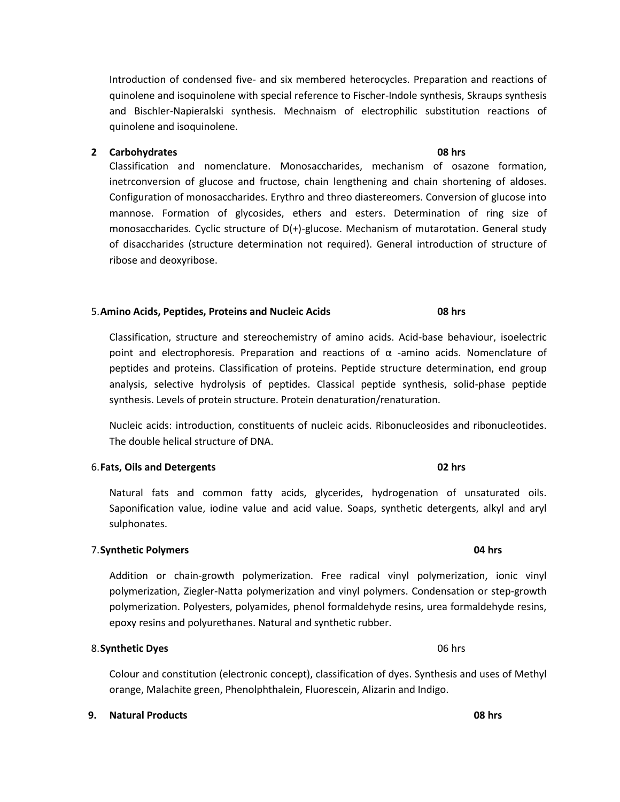Introduction of condensed five- and six membered heterocycles. Preparation and reactions of quinolene and isoquinolene with special reference to Fischer-Indole synthesis, Skraups synthesis and Bischler-Napieralski synthesis. Mechnaism of electrophilic substitution reactions of quinolene and isoquinolene.

## **2 Carbohydrates 08 hrs**

Classification and nomenclature. Monosaccharides, mechanism of osazone formation, inetrconversion of glucose and fructose, chain lengthening and chain shortening of aldoses. Configuration of monosaccharides. Erythro and threo diastereomers. Conversion of glucose into mannose. Formation of glycosides, ethers and esters. Determination of ring size of monosaccharides. Cyclic structure of D(+)-glucose. Mechanism of mutarotation. General study of disaccharides (structure determination not required). General introduction of structure of ribose and deoxyribose.

### 5.**Amino Acids, Peptides, Proteins and Nucleic Acids 08 hrs**

Classification, structure and stereochemistry of amino acids. Acid-base behaviour, isoelectric point and electrophoresis. Preparation and reactions of  $\alpha$  -amino acids. Nomenclature of peptides and proteins. Classification of proteins. Peptide structure determination, end group analysis, selective hydrolysis of peptides. Classical peptide synthesis, solid-phase peptide synthesis. Levels of protein structure. Protein denaturation/renaturation.

Nucleic acids: introduction, constituents of nucleic acids. Ribonucleosides and ribonucleotides. The double helical structure of DNA.

### 6.**Fats, Oils and Detergents 02 hrs**

Natural fats and common fatty acids, glycerides, hydrogenation of unsaturated oils. Saponification value, iodine value and acid value. Soaps, synthetic detergents, alkyl and aryl sulphonates.

### 7.**Synthetic Polymers 04 hrs**

Addition or chain-growth polymerization. Free radical vinyl polymerization, ionic vinyl polymerization, Ziegler-Natta polymerization and vinyl polymers. Condensation or step-growth polymerization. Polyesters, polyamides, phenol formaldehyde resins, urea formaldehyde resins, epoxy resins and polyurethanes. Natural and synthetic rubber.

### 8. **Synthetic Dyes** 06 hrs

Colour and constitution (electronic concept), classification of dyes. Synthesis and uses of Methyl orange, Malachite green, Phenolphthalein, Fluorescein, Alizarin and Indigo.

### **9. Natural Products 08 hrs**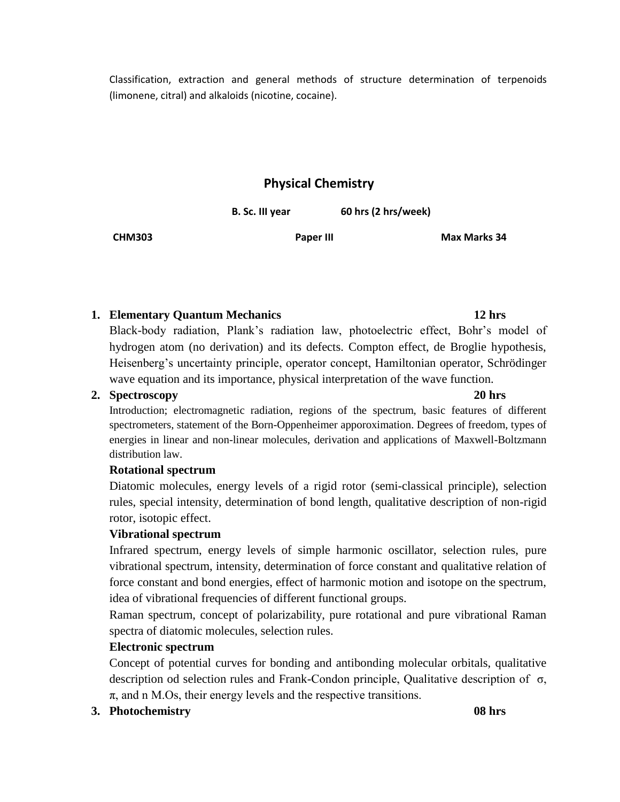Classification, extraction and general methods of structure determination of terpenoids (limonene, citral) and alkaloids (nicotine, cocaine).

# **Physical Chemistry**

**B. Sc. III year** 60 hrs (2 hrs/week)

**CHM303 Paper III Max Marks 34**

## **1. Elementary Quantum Mechanics 12 hrs**

Black-body radiation, Plank's radiation law, photoelectric effect, Bohr's model of hydrogen atom (no derivation) and its defects. Compton effect, de Broglie hypothesis, Heisenberg's uncertainty principle, operator concept, Hamiltonian operator, Schrödinger wave equation and its importance, physical interpretation of the wave function.

## **2. Spectroscopy 20 hrs**

Introduction; electromagnetic radiation, regions of the spectrum, basic features of different spectrometers, statement of the Born-Oppenheimer apporoximation. Degrees of freedom, types of energies in linear and non-linear molecules, derivation and applications of Maxwell-Boltzmann distribution law.

## **Rotational spectrum**

Diatomic molecules, energy levels of a rigid rotor (semi-classical principle), selection rules, special intensity, determination of bond length, qualitative description of non-rigid rotor, isotopic effect.

## **Vibrational spectrum**

Infrared spectrum, energy levels of simple harmonic oscillator, selection rules, pure vibrational spectrum, intensity, determination of force constant and qualitative relation of force constant and bond energies, effect of harmonic motion and isotope on the spectrum, idea of vibrational frequencies of different functional groups.

Raman spectrum, concept of polarizability, pure rotational and pure vibrational Raman spectra of diatomic molecules, selection rules.

## **Electronic spectrum**

Concept of potential curves for bonding and antibonding molecular orbitals, qualitative description od selection rules and Frank-Condon principle, Qualitative description of σ,  $\pi$ , and n M.Os, their energy levels and the respective transitions.

# **3. Photochemistry 08 hrs**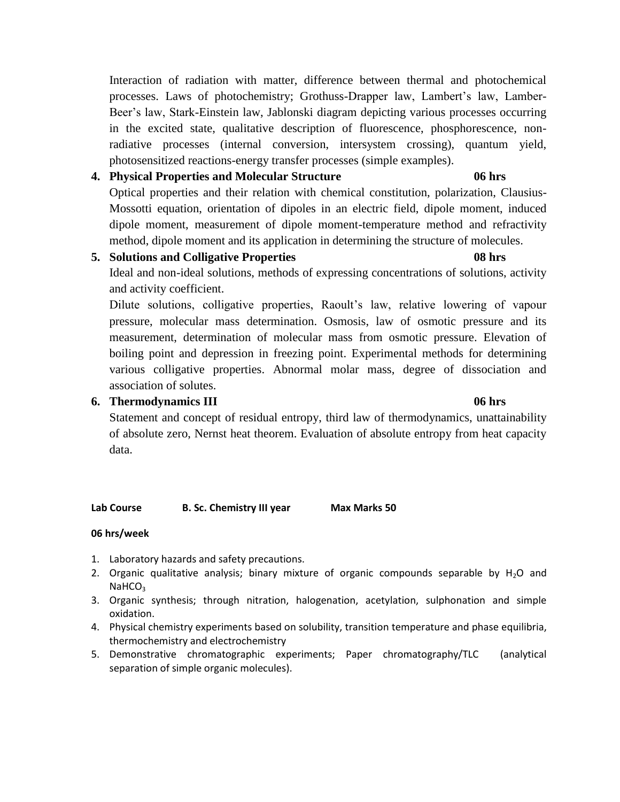Interaction of radiation with matter, difference between thermal and photochemical processes. Laws of photochemistry; Grothuss-Drapper law, Lambert's law, Lamber-Beer's law, Stark-Einstein law, Jablonski diagram depicting various processes occurring in the excited state, qualitative description of fluorescence, phosphorescence, nonradiative processes (internal conversion, intersystem crossing), quantum yield, photosensitized reactions-energy transfer processes (simple examples).

## **4. Physical Properties and Molecular Structure 06 hrs**

Optical properties and their relation with chemical constitution, polarization, Clausius-Mossotti equation, orientation of dipoles in an electric field, dipole moment, induced dipole moment, measurement of dipole moment-temperature method and refractivity method, dipole moment and its application in determining the structure of molecules.

## **5. Solutions and Colligative Properties 08 hrs**

Ideal and non-ideal solutions, methods of expressing concentrations of solutions, activity and activity coefficient.

Dilute solutions, colligative properties, Raoult's law, relative lowering of vapour pressure, molecular mass determination. Osmosis, law of osmotic pressure and its measurement, determination of molecular mass from osmotic pressure. Elevation of boiling point and depression in freezing point. Experimental methods for determining various colligative properties. Abnormal molar mass, degree of dissociation and association of solutes.

## **6. Thermodynamics III 06 hrs**

# Statement and concept of residual entropy, third law of thermodynamics, unattainability of absolute zero, Nernst heat theorem. Evaluation of absolute entropy from heat capacity data.

## **Lab Course B. Sc. Chemistry III year Max Marks 50**

## **06 hrs/week**

- 1. Laboratory hazards and safety precautions.
- 2. Organic qualitative analysis; binary mixture of organic compounds separable by  $H_2O$  and NaHCO<sub>3</sub>
- 3. Organic synthesis; through nitration, halogenation, acetylation, sulphonation and simple oxidation.
- 4. Physical chemistry experiments based on solubility, transition temperature and phase equilibria, thermochemistry and electrochemistry
- 5. Demonstrative chromatographic experiments; Paper chromatography/TLC (analytical separation of simple organic molecules).